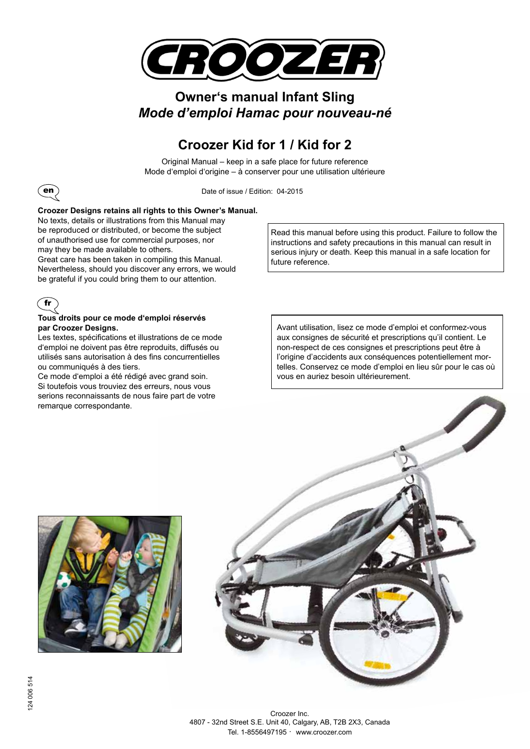

## **Owner's manual Infant Sling** *Mode d'emploi Hamac pour nouveau-né*

## **Croozer Kid for 1 / Kid for 2**

Original Manual – keep in a safe place for future reference Mode d'emploi d'origine – à conserver pour une utilisation ultérieure



Date of issue / Edition: 04-2015

#### **Croozer Designs retains all rights to this Owner's Manual.**

No texts, details or illustrations from this Manual may be reproduced or distributed, or become the subject of unauthorised use for commercial purposes, nor may they be made available to others.

Great care has been taken in compiling this Manual. Nevertheless, should you discover any errors, we would be grateful if you could bring them to our attention.



#### **Tous droits pour ce mode d'emploi réservés par Croozer Designs.**

Les textes, spécifications et illustrations de ce mode d'emploi ne doivent pas être reproduits, diffusés ou utilisés sans autorisation à des fins concurrentielles ou communiqués à des tiers.

Ce mode d'emploi a été rédigé avec grand soin. Si toutefois vous trouviez des erreurs, nous vous serions reconnaissants de nous faire part de votre remarque correspondante.

Read this manual before using this product. Failure to follow the instructions and safety precautions in this manual can result in serious injury or death. Keep this manual in a safe location for future reference.

Avant utilisation, lisez ce mode d'emploi et conformez-vous aux consignes de sécurité et prescriptions qu'il contient. Le non-respect de ces consignes et prescriptions peut être à l'origine d'accidents aux conséquences potentiellement mortelles. Conservez ce mode d'emploi en lieu sûr pour le cas où vous en auriez besoin ultérieurement.



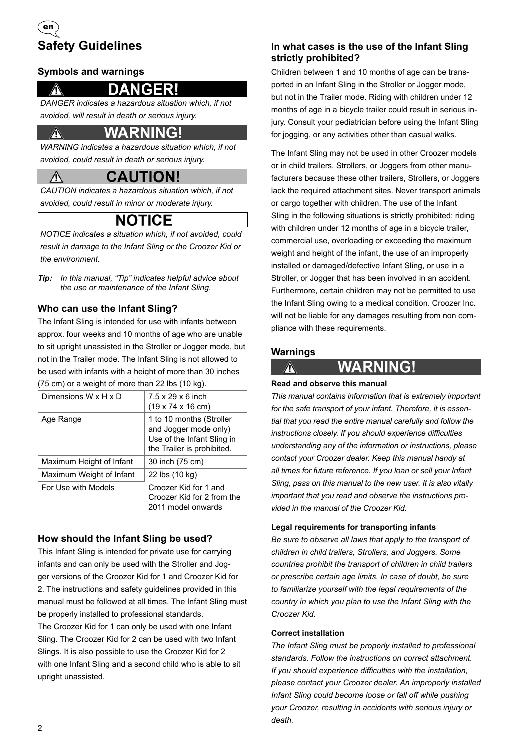## **Safety Guidelines** en

#### **Symbols and warnings**

 $\sqrt{N}$ 

## **DANGER!**

*DANGER indicates a hazardous situation which, if not avoided, will result in death or serious injury.*

### **WARNING!**

*WARNING indicates a hazardous situation which, if not avoided, could result in death or serious injury.*

## **CAUTION!**

*CAUTION indicates a hazardous situation which, if not avoided, could result in minor or moderate injury.*

## **NOTICE**

*NOTICE indicates a situation which, if not avoided, could result in damage to the Infant Sling or the Croozer Kid or the environment.*

*Tip: In this manual, "Tip" indicates helpful advice about the use or maintenance of the Infant Sling.* 

#### **Who can use the Infant Sling?**

The Infant Sling is intended for use with infants between approx. four weeks and 10 months of age who are unable to sit upright unassisted in the Stroller or Jogger mode, but not in the Trailer mode. The Infant Sling is not allowed to be used with infants with a height of more than 30 inches (75 cm) or a weight of more than 22 lbs (10 kg).

| Dimensions W x H x D     | $7.5 \times 29 \times 6$ inch<br>$(19 \times 74 \times 16 \text{ cm})$                                        |
|--------------------------|---------------------------------------------------------------------------------------------------------------|
| Age Range                | 1 to 10 months (Stroller<br>and Jogger mode only)<br>Use of the Infant Sling in<br>the Trailer is prohibited. |
| Maximum Height of Infant | 30 inch (75 cm)                                                                                               |
| Maximum Weight of Infant | 22 lbs (10 kg)                                                                                                |
| For Use with Models      | Croozer Kid for 1 and<br>Croozer Kid for 2 from the<br>2011 model onwards                                     |

#### **How should the Infant Sling be used?**

This Infant Sling is intended for private use for carrying infants and can only be used with the Stroller and Jogger versions of the Croozer Kid for 1 and Croozer Kid for 2. The instructions and safety guidelines provided in this manual must be followed at all times. The Infant Sling must be properly installed to professional standards. The Croozer Kid for 1 can only be used with one Infant Sling. The Croozer Kid for 2 can be used with two Infant Slings. It is also possible to use the Croozer Kid for 2 with one Infant Sling and a second child who is able to sit upright unassisted.

#### **In what cases is the use of the Infant Sling strictly prohibited?**

Children between 1 and 10 months of age can be transported in an Infant Sling in the Stroller or Jogger mode, but not in the Trailer mode. Riding with children under 12 months of age in a bicycle trailer could result in serious injury. Consult your pediatrician before using the Infant Sling for jogging, or any activities other than casual walks.

The Infant Sling may not be used in other Croozer models or in child trailers, Strollers, or Joggers from other manufacturers because these other trailers, Strollers, or Joggers lack the required attachment sites. Never transport animals or cargo together with children. The use of the Infant Sling in the following situations is strictly prohibited: riding with children under 12 months of age in a bicycle trailer, commercial use, overloading or exceeding the maximum weight and height of the infant, the use of an improperly installed or damaged/defective Infant Sling, or use in a Stroller, or Jogger that has been involved in an accident. Furthermore, certain children may not be permitted to use the Infant Sling owing to a medical condition. Croozer Inc. will not be liable for any damages resulting from non compliance with these requirements.

#### **Warnings**



### **Read and observe this manual**

*This manual contains information that is extremely important for the safe transport of your infant. Therefore, it is essential that you read the entire manual carefully and follow the instructions closely. If you should experience difficulties understanding any of the information or instructions, please contact your Croozer dealer. Keep this manual handy at all times for future reference. If you loan or sell your Infant Sling, pass on this manual to the new user. It is also vitally important that you read and observe the instructions provided in the manual of the Croozer Kid.*

**WARNING!** 

#### **Legal requirements for transporting infants**

*Be sure to observe all laws that apply to the transport of children in child trailers, Strollers, and Joggers. Some countries prohibit the transport of children in child trailers or prescribe certain age limits. In case of doubt, be sure to familiarize yourself with the legal requirements of the country in which you plan to use the Infant Sling with the Croozer Kid.* 

#### **Correct installation**

*The Infant Sling must be properly installed to professional standards. Follow the instructions on correct attachment. If you should experience difficulties with the installation, please contact your Croozer dealer. An improperly installed Infant Sling could become loose or fall off while pushing your Croozer, resulting in accidents with serious injury or death.*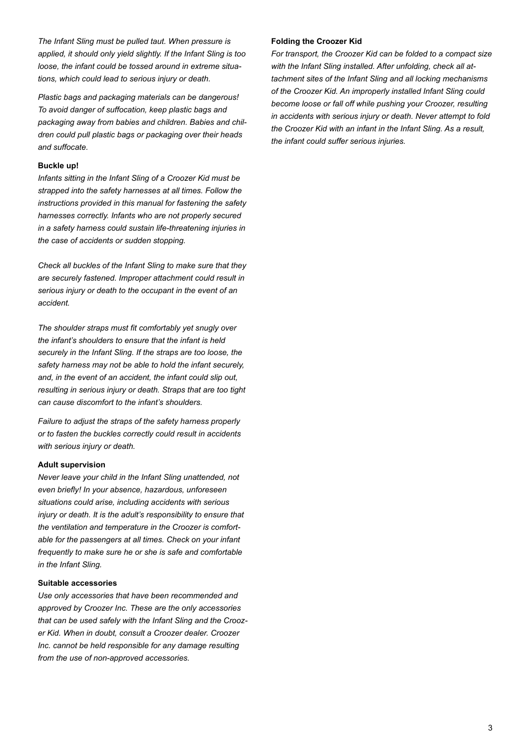*The Infant Sling must be pulled taut. When pressure is applied, it should only yield slightly. If the Infant Sling is too loose, the infant could be tossed around in extreme situations, which could lead to serious injury or death.*

*Plastic bags and packaging materials can be dangerous! To avoid danger of suffocation, keep plastic bags and packaging away from babies and children. Babies and children could pull plastic bags or packaging over their heads and suffocate.*

#### **Buckle up!**

*Infants sitting in the Infant Sling of a Croozer Kid must be strapped into the safety harnesses at all times. Follow the instructions provided in this manual for fastening the safety harnesses correctly. Infants who are not properly secured in a safety harness could sustain life-threatening injuries in the case of accidents or sudden stopping.*

*Check all buckles of the Infant Sling to make sure that they are securely fastened. Improper attachment could result in serious injury or death to the occupant in the event of an accident.*

*The shoulder straps must fit comfortably yet snugly over the infant's shoulders to ensure that the infant is held securely in the Infant Sling. If the straps are too loose, the safety harness may not be able to hold the infant securely, and, in the event of an accident, the infant could slip out, resulting in serious injury or death. Straps that are too tight can cause discomfort to the infant's shoulders.*

*Failure to adjust the straps of the safety harness properly or to fasten the buckles correctly could result in accidents with serious injury or death.*

#### **Adult supervision**

*Never leave your child in the Infant Sling unattended, not even briefly! In your absence, hazardous, unforeseen situations could arise, including accidents with serious injury or death. It is the adult's responsibility to ensure that the ventilation and temperature in the Croozer is comfortable for the passengers at all times. Check on your infant frequently to make sure he or she is safe and comfortable in the Infant Sling.*

#### **Suitable accessories**

*Use only accessories that have been recommended and approved by Croozer Inc. These are the only accessories that can be used safely with the Infant Sling and the Croozer Kid. When in doubt, consult a Croozer dealer. Croozer Inc. cannot be held responsible for any damage resulting from the use of non-approved accessories.* 

#### **Folding the Croozer Kid**

*For transport, the Croozer Kid can be folded to a compact size with the Infant Sling installed. After unfolding, check all attachment sites of the Infant Sling and all locking mechanisms of the Croozer Kid. An improperly installed Infant Sling could become loose or fall off while pushing your Croozer, resulting in accidents with serious injury or death. Never attempt to fold the Croozer Kid with an infant in the Infant Sling. As a result, the infant could suffer serious injuries.*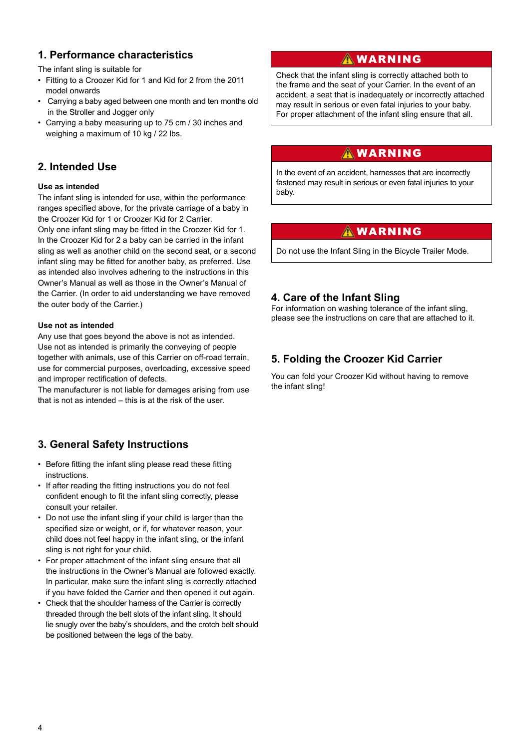#### **1. Performance characteristics**

The infant sling is suitable for

- Fitting to a Croozer Kid for 1 and Kid for 2 from the 2011 model onwards
- Carrying a baby aged between one month and ten months old in the Stroller and Jogger only
- Carrying a baby measuring up to 75 cm / 30 inches and weighing a maximum of 10 kg / 22 lbs.

#### **2. Intended Use**

#### **Use as intended**

The infant sling is intended for use, within the performance ranges specified above, for the private carriage of a baby in the Croozer Kid for 1 or Croozer Kid for 2 Carrier.

Only one infant sling may be fitted in the Croozer Kid for 1. In the Croozer Kid for 2 a baby can be carried in the infant sling as well as another child on the second seat, or a second infant sling may be fitted for another baby, as preferred. Use as intended also involves adhering to the instructions in this Owner's Manual as well as those in the Owner's Manual of the Carrier. (In order to aid understanding we have removed the outer body of the Carrier.)

#### **Use not as intended**

Any use that goes beyond the above is not as intended. Use not as intended is primarily the conveying of people together with animals, use of this Carrier on off-road terrain, use for commercial purposes, overloading, excessive speed and improper rectification of defects.

The manufacturer is not liable for damages arising from use that is not as intended – this is at the risk of the user.

#### **3. General Safety Instructions**

- Before fitting the infant sling please read these fitting instructions.
- If after reading the fitting instructions you do not feel confident enough to fit the infant sling correctly, please consult your retailer.
- Do not use the infant sling if your child is larger than the specified size or weight, or if, for whatever reason, your child does not feel happy in the infant sling, or the infant sling is not right for your child.
- For proper attachment of the infant sling ensure that all the instructions in the Owner's Manual are followed exactly. In particular, make sure the infant sling is correctly attached if you have folded the Carrier and then opened it out again.
- Check that the shoulder harness of the Carrier is correctly threaded through the belt slots of the infant sling. It should lie snugly over the baby's shoulders, and the crotch belt should be positioned between the legs of the baby.

#### WARNING

Check that the infant sling is correctly attached both to the frame and the seat of your Carrier. In the event of an accident, a seat that is inadequately or incorrectly attached may result in serious or even fatal injuries to your baby. For proper attachment of the infant sling ensure that all.

#### **AWARNING**

In the event of an accident, harnesses that are incorrectly fastened may result in serious or even fatal injuries to your baby.

#### **AWARNING**

Do not use the Infant Sling in the Bicycle Trailer Mode.

#### **4. Care of the Infant Sling**

For information on washing tolerance of the infant sling, please see the instructions on care that are attached to it.

#### **5. Folding the Croozer Kid Carrier**

You can fold your Croozer Kid without having to remove the infant sling!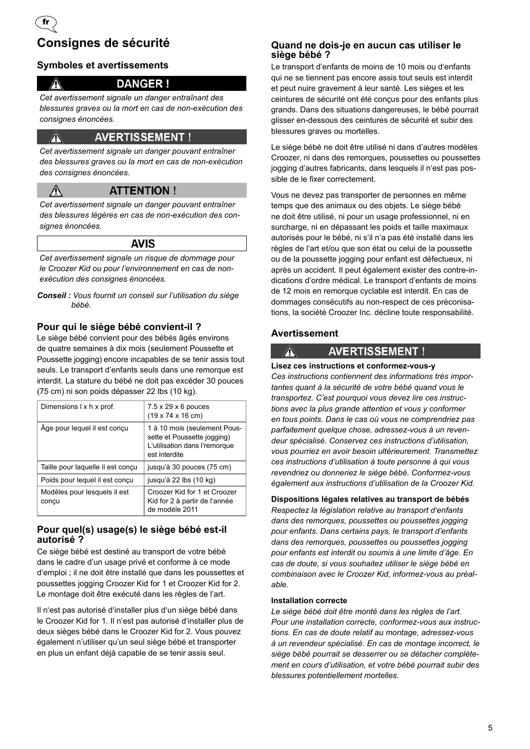## **Consignes de sécurité**

fr

 $\mathbb{A}$ 

 $\sqrt{2}$ 

#### **Symboles et avertissements**

#### **DANGER!**

*Cet avertissement signale un danger entraînant des blessures graves ou la mort en cas de non-exécution des consignes énoncées.*

#### **AVERTISSEMENT!**

*Cet avertissement signale un danger pouvant entraîner des blessures graves ou la mort en cas de non-exécution des consignes énoncées.*

#### **ATTENTION!**

*Cet avertissement signale un danger pouvant entraîner des blessures légères en cas de non-exécution des consignes énoncées.*

#### **AVIS**

*Cet avertissement signale un risque de dommage pour le Croozer Kid ou pour l'environnement en cas de nonexécution des consignes énoncées.*

*Conseil : Vous fournit un conseil sur l'utilisation du siège bébé.* 

#### **Pour qui le siège bébé convient-il ?**

Le siège bébé convient pour des bébés âgés environs de quatre semaines à dix mois (seulement Poussette et Poussette jogging) encore incapables de se tenir assis tout seuls. Le transport d'enfants seuls dans une remorque est interdit. La stature du bébé ne doit pas excéder 30 pouces (75 cm) ni son poids dépasser 22 lbs (10 kg).

| Dimensions I x h x prof.              | $7.5 \times 29 \times 6$ pouces<br>$(19 \times 74 \times 16 \text{ cm})$                                      |
|---------------------------------------|---------------------------------------------------------------------------------------------------------------|
| Âge pour lequel il est conçu          | 1 à 10 mois (seulement Pous-<br>sette et Poussette jogging)<br>L'utilisation dans l'remorque<br>est interdite |
| Taille pour laquelle il est conçu     | jusqu'à 30 pouces (75 cm)                                                                                     |
| Poids pour lequel il est conçu        | jusqu'à 22 lbs (10 kg)                                                                                        |
| Modèles pour lesquels il est<br>conçu | Croozer Kid for 1 et Croozer<br>Kid for 2 à partir de l'année<br>de modèle 2011                               |

#### **Pour quel(s) usage(s) le siège bébé est-il autorisé ?**

Ce siège bébé est destiné au transport de votre bébé dans le cadre d'un usage privé et conforme à ce mode d'emploi ; il ne doit être installé que dans les poussettes et poussettes jogging Croozer Kid for 1 et Croozer Kid for 2. Le montage doit être exécuté dans les règles de l'art.

Il n'est pas autorisé d'installer plus d'un siège bébé dans le Croozer Kid for 1. Il n'est pas autorisé d'installer plus de deux sièges bébé dans le Croozer Kid for 2. Vous pouvez également n'utiliser qu'un seul siège bébé et transporter en plus un enfant déjà capable de se tenir assis seul.

#### **Quand ne dois-je en aucun cas utiliser le siège bébé ?**

Le transport d'enfants de moins de 10 mois ou d'enfants qui ne se tiennent pas encore assis tout seuls est interdit et peut nuire gravement à leur santé. Les sièges et les ceintures de sécurité ont été conçus pour des enfants plus grands. Dans des situations dangereuses, le bébé pourrait glisser en-dessous des ceintures de sécurité et subir des blessures graves ou mortelles.

Le siège bébé ne doit être utilisé ni dans d'autres modèles Croozer, ni dans des remorques, poussettes ou poussettes jogging d'autres fabricants, dans lesquels il n'est pas possible de le fixer correctement.

Vous ne devez pas transporter de personnes en même temps que des animaux ou des objets. Le siège bébé ne doit être utilisé, ni pour un usage professionnel, ni en surcharge, ni en dépassant les poids et taille maximaux autorisés pour le bébé, ni s'il n'a pas été installé dans les règles de l'art et/ou que son état ou celui de la poussette ou de la poussette jogging pour enfant est défectueux, ni après un accident. Il peut également exister des contre-indications d'ordre médical. Le transport d'enfants de moins de 12 mois en remorque cyclable est interdit. En cas de dommages consécutifs au non-respect de ces préconisations, la société Croozer Inc. décline toute responsabilité.

#### **Avertissement**

 $\mathbb{A}$ 

#### **AVERTISSEMENT!**

**Lisez ces instructions et conformez-vous-y** *Ces instructions contiennent des informations très importantes quant à la sécurité de votre bébé quand vous le transportez. C'est pourquoi vous devez lire ces instructions avec la plus grande attention et vous y conformer en tous points. Dans le cas où vous ne comprendriez pas parfaitement quelque chose, adressez-vous à un revendeur spécialisé. Conservez ces instructions d'utilisation, vous pourriez en avoir besoin ultérieurement. Transmettez ces instructions d'utilisation à toute personne à qui vous revendriez ou donneriez le siège bébé. Conformez-vous également aux instructions d'utilisation de la Croozer Kid.*

**Dispositions légales relatives au transport de bébés** *Respectez la législation relative au transport d'enfants dans des remorques, poussettes ou poussettes jogging pour enfants. Dans certains pays, le transport d'enfants dans des remorques, poussettes ou poussettes jogging pour enfants est interdit ou soumis à une limite d'âge. En cas de doute, si vous souhaitez utiliser le siège bébé en combinaison avec le Croozer Kid, informez-vous au préalable.* 

#### **Installation correcte**

*Le siège bébé doit être monté dans les règles de l'art. Pour une installation correcte, conformez-vous aux instructions. En cas de doute relatif au montage, adressez-vous à un revendeur spécialisé. En cas de montage incorrect, le siège bébé pourrait se desserrer ou se détacher complètement en cours d'utilisation, et votre bébé pourrait subir des blessures potentiellement mortelles.*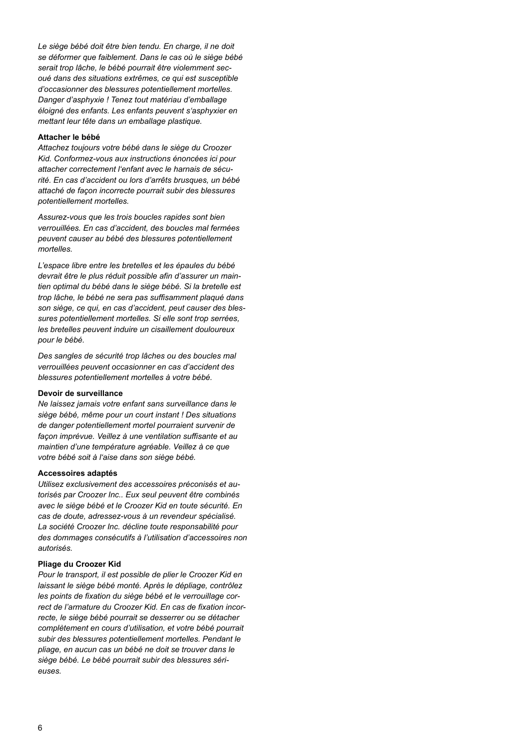*Le siège bébé doit être bien tendu. En charge, il ne doit se déformer que faiblement. Dans le cas où le siège bébé serait trop lâche, le bébé pourrait être violemment secoué dans des situations extrêmes, ce qui est susceptible d'occasionner des blessures potentiellement mortelles. Danger d'asphyxie ! Tenez tout matériau d'emballage éloigné des enfants. Les enfants peuvent s'asphyxier en mettant leur tête dans un emballage plastique.*

#### **Attacher le bébé**

*Attachez toujours votre bébé dans le siège du Croozer Kid. Conformez-vous aux instructions énoncées ici pour attacher correctement l'enfant avec le harnais de sécurité. En cas d'accident ou lors d'arrêts brusques, un bébé attaché de façon incorrecte pourrait subir des blessures potentiellement mortelles.*

*Assurez-vous que les trois boucles rapides sont bien verrouillées. En cas d'accident, des boucles mal fermées peuvent causer au bébé des blessures potentiellement mortelles.*

*L'espace libre entre les bretelles et les épaules du bébé devrait être le plus réduit possible afin d'assurer un maintien optimal du bébé dans le siège bébé. Si la bretelle est trop lâche, le bébé ne sera pas suffisamment plaqué dans son siège, ce qui, en cas d'accident, peut causer des blessures potentiellement mortelles. Si elle sont trop serrées, les bretelles peuvent induire un cisaillement douloureux pour le bébé.*

*Des sangles de sécurité trop lâches ou des boucles mal verrouillées peuvent occasionner en cas d'accident des blessures potentiellement mortelles à votre bébé.*

#### **Devoir de surveillance**

*Ne laissez jamais votre enfant sans surveillance dans le siège bébé, même pour un court instant ! Des situations de danger potentiellement mortel pourraient survenir de façon imprévue. Veillez à une ventilation suffisante et au maintien d'une température agréable. Veillez à ce que votre bébé soit à l'aise dans son siège bébé.*

#### **Accessoires adaptés**

*Utilisez exclusivement des accessoires préconisés et autorisés par Croozer Inc.. Eux seul peuvent être combinés avec le siège bébé et le Croozer Kid en toute sécurité. En cas de doute, adressez-vous à un revendeur spécialisé. La société Croozer Inc. décline toute responsabilité pour des dommages consécutifs à l'utilisation d'accessoires non autorisés.* 

#### **Pliage du Croozer Kid**

*Pour le transport, il est possible de plier le Croozer Kid en laissant le siège bébé monté. Après le dépliage, contrôlez les points de fixation du siège bébé et le verrouillage correct de l'armature du Croozer Kid. En cas de fixation incorrecte, le siège bébé pourrait se desserrer ou se détacher complètement en cours d'utilisation, et votre bébé pourrait subir des blessures potentiellement mortelles. Pendant le pliage, en aucun cas un bébé ne doit se trouver dans le siège bébé. Le bébé pourrait subir des blessures sérieuses.*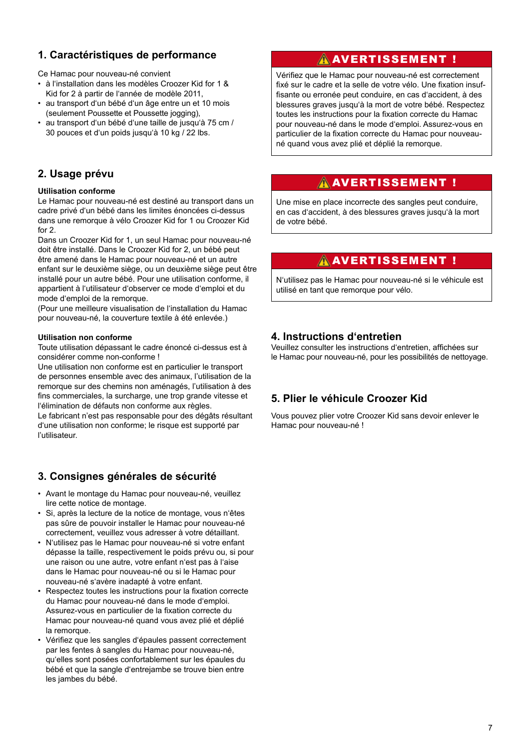#### **1. Caractéristiques de performance**

Ce Hamac pour nouveau-né convient

- à l'installation dans les modèles Croozer Kid for 1 & Kid for 2 à partir de l'année de modèle 2011,
- au transport d'un bébé d'un âge entre un et 10 mois (seulement Poussette et Poussette jogging),
- au transport d'un bébé d'une taille de jusqu'à 75 cm / 30 pouces et d'un poids jusqu'à 10 kg / 22 lbs.

#### **2. Usage prévu**

#### **Utilisation conforme**

Le Hamac pour nouveau-né est destiné au transport dans un cadre privé d'un bébé dans les limites énoncées ci-dessus dans une remorque à vélo Croozer Kid for 1 ou Croozer Kid for 2.

Dans un Croozer Kid for 1, un seul Hamac pour nouveau-né doit être installé. Dans le Croozer Kid for 2, un bébé peut être amené dans le Hamac pour nouveau-né et un autre enfant sur le deuxième siège, ou un deuxième siège peut être installé pour un autre bébé. Pour une utilisation conforme, il appartient à l'utilisateur d'observer ce mode d'emploi et du mode d'emploi de la remorque.

(Pour une meilleure visualisation de l'installation du Hamac pour nouveau-né, la couverture textile à été enlevée.)

#### **Utilisation non conforme**

Toute utilisation dépassant le cadre énoncé ci-dessus est à considérer comme non-conforme !

Une utilisation non conforme est en particulier le transport de personnes ensemble avec des animaux, l'utilisation de la remorque sur des chemins non aménagés, l'utilisation à des fins commerciales, la surcharge, une trop grande vitesse et l'élimination de défauts non conforme aux règles.

Le fabricant n'est pas responsable pour des dégâts résultant d'une utilisation non conforme; le risque est supporté par l'utilisateur.

#### **3. Consignes générales de sécurité**

- Avant le montage du Hamac pour nouveau-né, veuillez lire cette notice de montage.
- Si, après la lecture de la notice de montage, vous n'êtes pas sûre de pouvoir installer le Hamac pour nouveau-né correctement, veuillez vous adresser à votre détaillant.
- N'utilisez pas le Hamac pour nouveau-né si votre enfant dépasse la taille, respectivement le poids prévu ou, si pour une raison ou une autre, votre enfant n'est pas à l'aise dans le Hamac pour nouveau-né ou si le Hamac pour nouveau-né s'avère inadapté à votre enfant.
- Respectez toutes les instructions pour la fixation correcte du Hamac pour nouveau-né dans le mode d'emploi. Assurez-vous en particulier de la fixation correcte du Hamac pour nouveau-né quand vous avez plié et déplié la remorque.
- Vérifiez que les sangles d'épaules passent correctement par les fentes à sangles du Hamac pour nouveau-né, qu'elles sont posées confortablement sur les épaules du bébé et que la sangle d'entrejambe se trouve bien entre les jambes du bébé.

#### **A**AVERTISSEMENT !

Vérifiez que le Hamac pour nouveau-né est correctement fixé sur le cadre et la selle de votre vélo. Une fixation insuffisante ou erronée peut conduire, en cas d'accident, à des blessures graves jusqu'à la mort de votre bébé. Respectez toutes les instructions pour la fixation correcte du Hamac pour nouveau-né dans le mode d'emploi. Assurez-vous en particulier de la fixation correcte du Hamac pour nouveauné quand vous avez plié et déplié la remorque.

#### AVERTISSEMENT !

Une mise en place incorrecte des sangles peut conduire, en cas d'accident, à des blessures graves jusqu'à la mort de votre bébé.

#### AVERTISSEMENT !

N'utilisez pas le Hamac pour nouveau-né si le véhicule est utilisé en tant que remorque pour vélo.

#### **4. Instructions d'entretien**

Veuillez consulter les instructions d'entretien, affichées sur le Hamac pour nouveau-né, pour les possibilités de nettoyage.

#### **5. Plier le véhicule Croozer Kid**

Vous pouvez plier votre Croozer Kid sans devoir enlever le Hamac pour nouveau-né !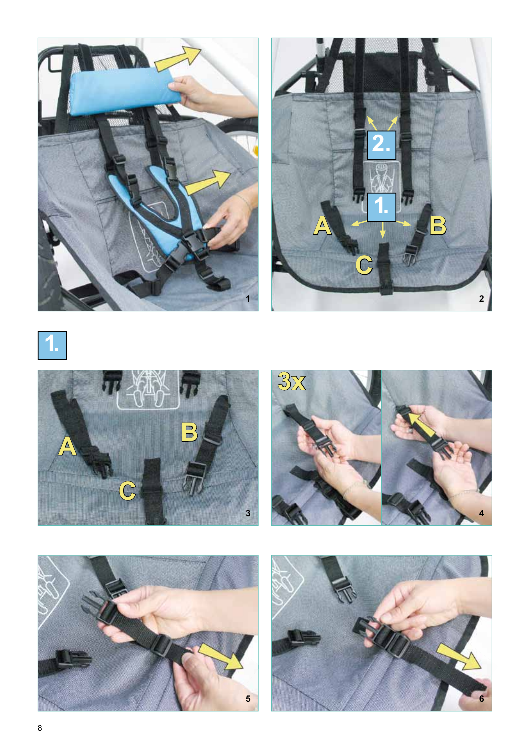











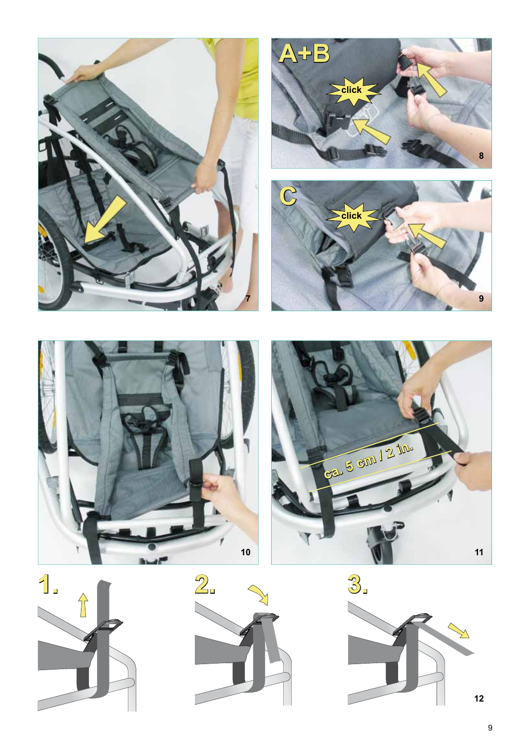













 **9**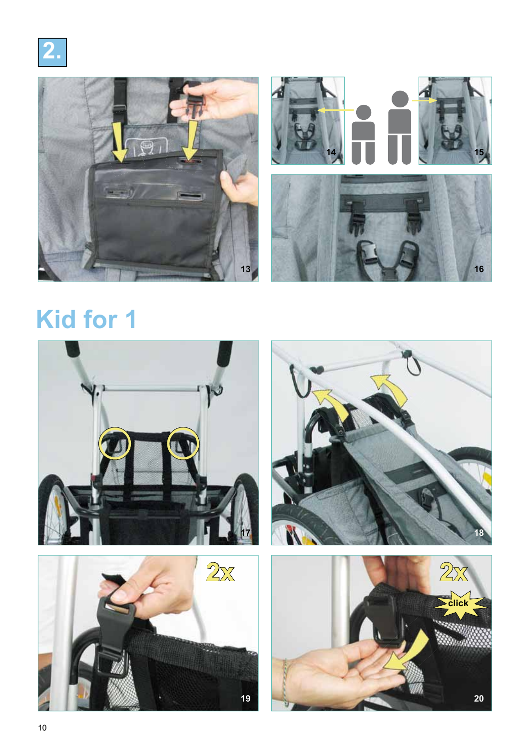



# **Kid for 1**



 **19**



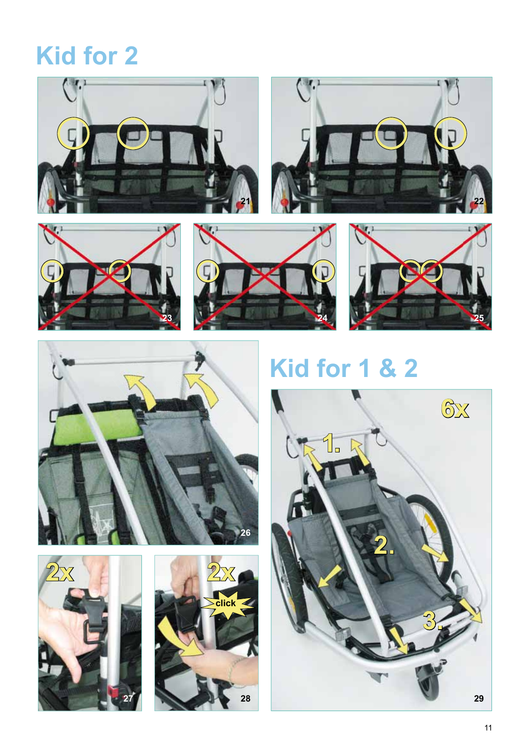## **Kid for 2**















## **Kid for 1 & 2**